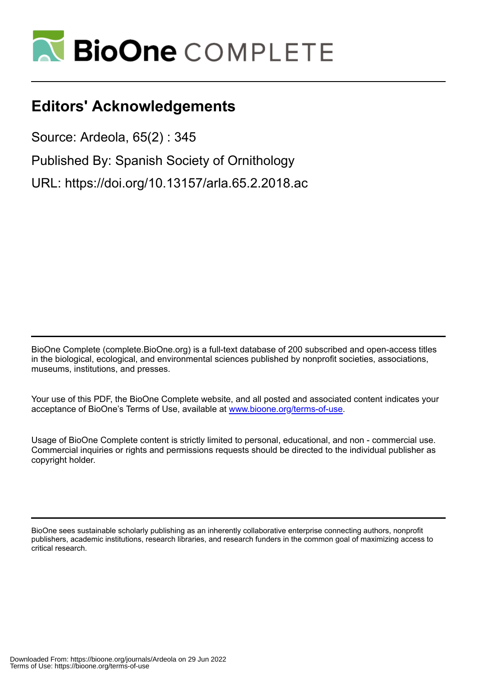

## **Editors' Acknowledgements**

Source: Ardeola, 65(2) : 345

Published By: Spanish Society of Ornithology

URL: https://doi.org/10.13157/arla.65.2.2018.ac

BioOne Complete (complete.BioOne.org) is a full-text database of 200 subscribed and open-access titles in the biological, ecological, and environmental sciences published by nonprofit societies, associations, museums, institutions, and presses.

Your use of this PDF, the BioOne Complete website, and all posted and associated content indicates your acceptance of BioOne's Terms of Use, available at www.bioone.org/terms-of-use.

Usage of BioOne Complete content is strictly limited to personal, educational, and non - commercial use. Commercial inquiries or rights and permissions requests should be directed to the individual publisher as copyright holder.

BioOne sees sustainable scholarly publishing as an inherently collaborative enterprise connecting authors, nonprofit publishers, academic institutions, research libraries, and research funders in the common goal of maximizing access to critical research.